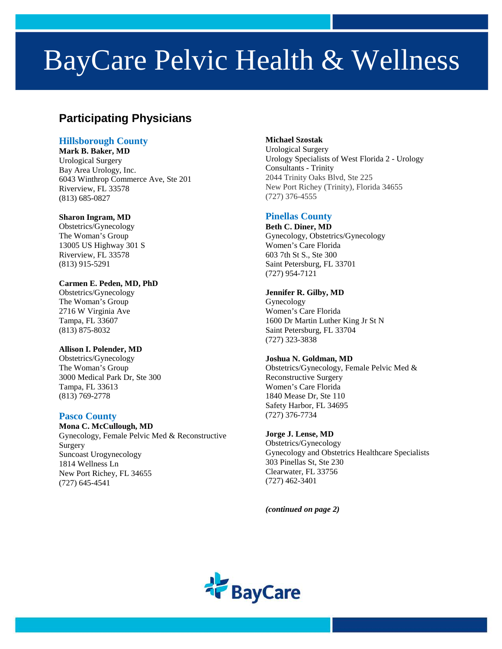# BayCare Pelvic Health & Wellness

# **Participating Physicians**

# **Hillsborough County**

**Mark B. Baker, MD** Urological Surgery Bay Area Urology, Inc. 6043 Winthrop Commerce Ave, Ste 201 Riverview, FL 33578 (813) 685-0827

#### **Sharon Ingram, MD**

Obstetrics/Gynecology The Woman's Group 13005 US Highway 301 S Riverview, FL 33578 (813) 915-5291

#### **Carmen E. Peden, MD, PhD**

Obstetrics/Gynecology The Woman's Group 2716 W Virginia Ave Tampa, FL 33607 (813) 875-8032

# **Allison I. Polender, MD**

Obstetrics/Gynecology The Woman's Group 3000 Medical Park Dr, Ste 300 Tampa, FL 33613 (813) 769-2778

# **Pasco County**

**Mona C. McCullough, MD** Gynecology, Female Pelvic Med & Reconstructive Surgery Suncoast Urogynecology 1814 Wellness Ln New Port Richey, FL 34655 (727) 645-4541

#### **Michael Szostak**

Urological Surgery Urology Specialists of West Florida 2 - Urology Consultants - Trinity 2044 Trinity Oaks Blvd, Ste 225 New Port Richey (Trinity), Florida 34655 (727) 376-4555

# **Pinellas County**

**[Beth C. Diner,](https://baycare.org/doctors/d/b/beth-c-diner?q=Beth%20Diner&specialties=8) MD** Gynecology, Obstetrics/Gynecology Women's Care Florida 603 7th St S., Ste 300 Saint Petersburg, FL 33701 (727) 954-7121

#### **Jennifer R. Gilby, MD**

Gynecology Women's Care Florida 1600 Dr Martin Luther King Jr St N Saint Petersburg, FL 33704 (727) 323-3838

# **Joshua N. Goldman, MD**

Obstetrics/Gynecology, Female Pelvic Med & Reconstructive Surgery Women's Care Florida 1840 Mease Dr, Ste 110 Safety Harbor, FL 34695 (727) 376-7734

# **Jorge J. Lense, MD**

Obstetrics/Gynecology Gynecology and Obstetrics Healthcare Specialists 303 Pinellas St, Ste 230 Clearwater, FL 33756 (727) 462-3401

*(continued on page 2)*